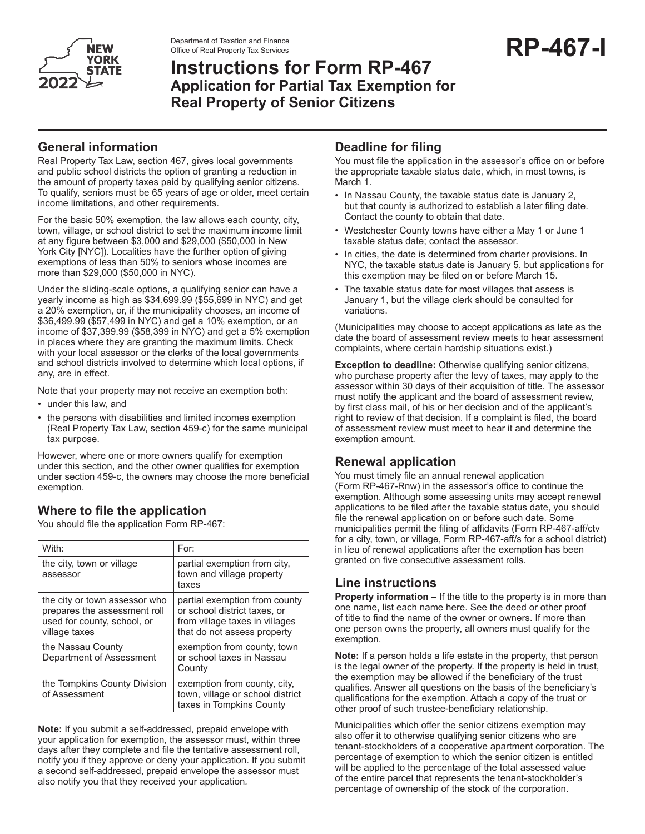

Department of Taxation and Finance<br>Office of Real Property Tax Services<br> **RP-467-I** Office of Real Property Tax Services

# **Instructions for Form RP-467 Application for Partial Tax Exemption for Real Property of Senior Citizens**

## **General information**

Real Property Tax Law, section 467, gives local governments and public school districts the option of granting a reduction in the amount of property taxes paid by qualifying senior citizens. To qualify, seniors must be 65 years of age or older, meet certain income limitations, and other requirements.

For the basic 50% exemption, the law allows each county, city, town, village, or school district to set the maximum income limit at any figure between \$3,000 and \$29,000 (\$50,000 in New York City [NYC]). Localities have the further option of giving exemptions of less than 50% to seniors whose incomes are more than \$29,000 (\$50,000 in NYC).

Under the sliding-scale options, a qualifying senior can have a yearly income as high as \$34,699.99 (\$55,699 in NYC) and get a 20% exemption, or, if the municipality chooses, an income of \$36,499.99 (\$57,499 in NYC) and get a 10% exemption, or an income of \$37,399.99 (\$58,399 in NYC) and get a 5% exemption in places where they are granting the maximum limits. Check with your local assessor or the clerks of the local governments and school districts involved to determine which local options, if any, are in effect.

Note that your property may not receive an exemption both:

- under this law, and
- the persons with disabilities and limited incomes exemption (Real Property Tax Law, section 459-c) for the same municipal tax purpose.

However, where one or more owners qualify for exemption under this section, and the other owner qualifies for exemption under section 459-c, the owners may choose the more beneficial exemption.

# **Where to file the application**

You should file the application Form RP-467:

| With:                                                                                                         | For:                                                                                                                           |
|---------------------------------------------------------------------------------------------------------------|--------------------------------------------------------------------------------------------------------------------------------|
| the city, town or village<br>assessor                                                                         | partial exemption from city,<br>town and village property<br>taxes                                                             |
| the city or town assessor who<br>prepares the assessment roll<br>used for county, school, or<br>village taxes | partial exemption from county<br>or school district taxes, or<br>from village taxes in villages<br>that do not assess property |
| the Nassau County<br>Department of Assessment                                                                 | exemption from county, town<br>or school taxes in Nassau<br>County                                                             |
| the Tompkins County Division<br>of Assessment                                                                 | exemption from county, city,<br>town, village or school district<br>taxes in Tompkins County                                   |

**Note:** If you submit a self-addressed, prepaid envelope with your application for exemption, the assessor must, within three days after they complete and file the tentative assessment roll, notify you if they approve or deny your application. If you submit a second self-addressed, prepaid envelope the assessor must also notify you that they received your application*.* 

#### **Deadline for filing**

You must file the application in the assessor's office on or before the appropriate taxable status date, which, in most towns, is March 1.

- In Nassau County, the taxable status date is January 2, but that county is authorized to establish a later filing date. Contact the county to obtain that date.
- Westchester County towns have either a May 1 or June 1 taxable status date; contact the assessor.
- In cities, the date is determined from charter provisions. In NYC, the taxable status date is January 5, but applications for this exemption may be filed on or before March 15.
- The taxable status date for most villages that assess is January 1, but the village clerk should be consulted for variations.

(Municipalities may choose to accept applications as late as the date the board of assessment review meets to hear assessment complaints, where certain hardship situations exist.)

**Exception to deadline:** Otherwise qualifying senior citizens, who purchase property after the levy of taxes, may apply to the assessor within 30 days of their acquisition of title. The assessor must notify the applicant and the board of assessment review, by first class mail, of his or her decision and of the applicant's right to review of that decision. If a complaint is filed, the board of assessment review must meet to hear it and determine the exemption amount.

## **Renewal application**

You must timely file an annual renewal application (Form RP-467-Rnw) in the assessor's office to continue the exemption. Although some assessing units may accept renewal applications to be filed after the taxable status date, you should file the renewal application on or before such date. Some municipalities permit the filing of affidavits (Form RP-467-aff/ctv for a city, town, or village, Form RP-467-aff/s for a school district) in lieu of renewal applications after the exemption has been granted on five consecutive assessment rolls.

## **Line instructions**

**Property information – If the title to the property is in more than** one name, list each name here. See the deed or other proof of title to find the name of the owner or owners. If more than one person owns the property, all owners must qualify for the exemption.

**Note:** If a person holds a life estate in the property, that person is the legal owner of the property. If the property is held in trust, the exemption may be allowed if the beneficiary of the trust qualifies. Answer all questions on the basis of the beneficiary's qualifications for the exemption. Attach a copy of the trust or other proof of such trustee-beneficiary relationship.

Municipalities which offer the senior citizens exemption may also offer it to otherwise qualifying senior citizens who are tenant-stockholders of a cooperative apartment corporation. The percentage of exemption to which the senior citizen is entitled will be applied to the percentage of the total assessed value of the entire parcel that represents the tenant-stockholder's percentage of ownership of the stock of the corporation*.*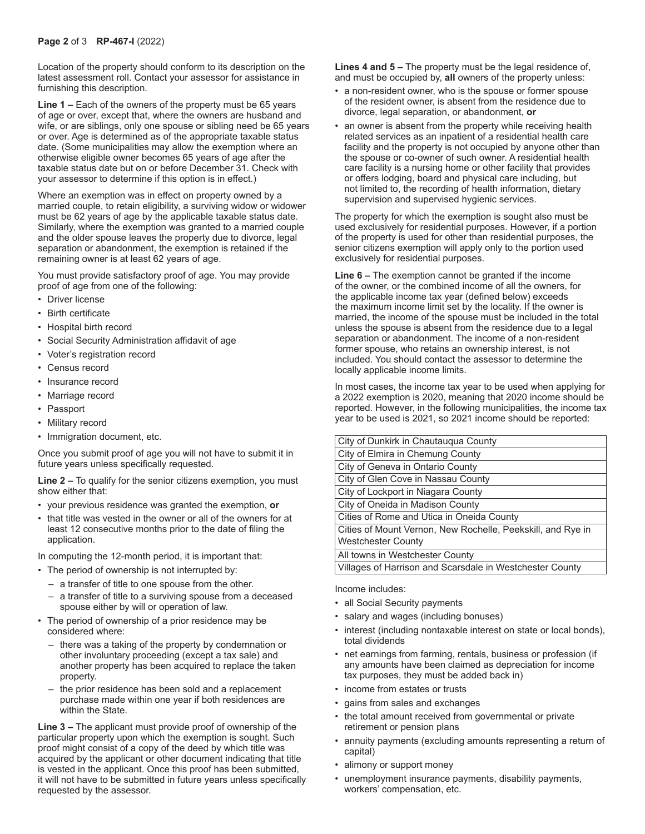Location of the property should conform to its description on the latest assessment roll. Contact your assessor for assistance in furnishing this description.

**Line 1 –** Each of the owners of the property must be 65 years of age or over, except that, where the owners are husband and wife, or are siblings, only one spouse or sibling need be 65 years or over. Age is determined as of the appropriate taxable status date. (Some municipalities may allow the exemption where an otherwise eligible owner becomes 65 years of age after the taxable status date but on or before December 31. Check with your assessor to determine if this option is in effect.)

Where an exemption was in effect on property owned by a married couple, to retain eligibility, a surviving widow or widower must be 62 years of age by the applicable taxable status date. Similarly, where the exemption was granted to a married couple and the older spouse leaves the property due to divorce, legal separation or abandonment, the exemption is retained if the remaining owner is at least 62 years of age.

You must provide satisfactory proof of age. You may provide proof of age from one of the following:

- **Driver license**
- Birth certificate
- Hospital birth record
- Social Security Administration affidavit of age
- Voter's registration record
- Census record
- Insurance record
- Marriage record
- Passport
- Military record
- Immigration document, etc.

Once you submit proof of age you will not have to submit it in future years unless specifically requested.

**Line 2 –** To qualify for the senior citizens exemption, you must show either that:

- your previous residence was granted the exemption, **or**
- that title was vested in the owner or all of the owners for at least 12 consecutive months prior to the date of filing the application.

In computing the 12-month period, it is important that:

- The period of ownership is not interrupted by:
	- a transfer of title to one spouse from the other.
	- a transfer of title to a surviving spouse from a deceased spouse either by will or operation of law.
- The period of ownership of a prior residence may be considered where:
	- there was a taking of the property by condemnation or other involuntary proceeding (except a tax sale) and another property has been acquired to replace the taken property.
	- the prior residence has been sold and a replacement purchase made within one year if both residences are within the State.

**Line 3 –** The applicant must provide proof of ownership of the particular property upon which the exemption is sought. Such proof might consist of a copy of the deed by which title was acquired by the applicant or other document indicating that title is vested in the applicant. Once this proof has been submitted, it will not have to be submitted in future years unless specifically requested by the assessor.

**Lines 4 and 5 –** The property must be the legal residence of. and must be occupied by, **all** owners of the property unless:

- a non-resident owner, who is the spouse or former spouse of the resident owner, is absent from the residence due to divorce, legal separation, or abandonment, **or**
- an owner is absent from the property while receiving health related services as an inpatient of a residential health care facility and the property is not occupied by anyone other than the spouse or co-owner of such owner. A residential health care facility is a nursing home or other facility that provides or offers lodging, board and physical care including, but not limited to, the recording of health information, dietary supervision and supervised hygienic services.

The property for which the exemption is sought also must be used exclusively for residential purposes. However, if a portion of the property is used for other than residential purposes, the senior citizens exemption will apply only to the portion used exclusively for residential purposes.

**Line 6 –** The exemption cannot be granted if the income of the owner, or the combined income of all the owners, for the applicable income tax year (defined below) exceeds the maximum income limit set by the locality. If the owner is married, the income of the spouse must be included in the total unless the spouse is absent from the residence due to a legal separation or abandonment. The income of a non-resident former spouse, who retains an ownership interest, is not included. You should contact the assessor to determine the locally applicable income limits.

In most cases, the income tax year to be used when applying for a 2022 exemption is 2020, meaning that 2020 income should be reported. However, in the following municipalities, the income tax year to be used is 2021, so 2021 income should be reported:

| City of Dunkirk in Chautauqua County                        |  |
|-------------------------------------------------------------|--|
| City of Elmira in Chemung County                            |  |
| City of Geneva in Ontario County                            |  |
| City of Glen Cove in Nassau County                          |  |
| City of Lockport in Niagara County                          |  |
| City of Oneida in Madison County                            |  |
| Cities of Rome and Utica in Oneida County                   |  |
| Cities of Mount Vernon, New Rochelle, Peekskill, and Rye in |  |
| <b>Westchester County</b>                                   |  |
| All towns in Westchester County                             |  |
| Villages of Harrison and Scarsdale in Westchester County    |  |

Income includes:

- all Social Security payments
- salary and wages (including bonuses)
- interest (including nontaxable interest on state or local bonds), total dividends
- net earnings from farming, rentals, business or profession (if any amounts have been claimed as depreciation for income tax purposes, they must be added back in)
- income from estates or trusts
- gains from sales and exchanges
- the total amount received from governmental or private retirement or pension plans
- annuity payments (excluding amounts representing a return of capital)
- alimony or support money
- unemployment insurance payments, disability payments, workers' compensation, etc.